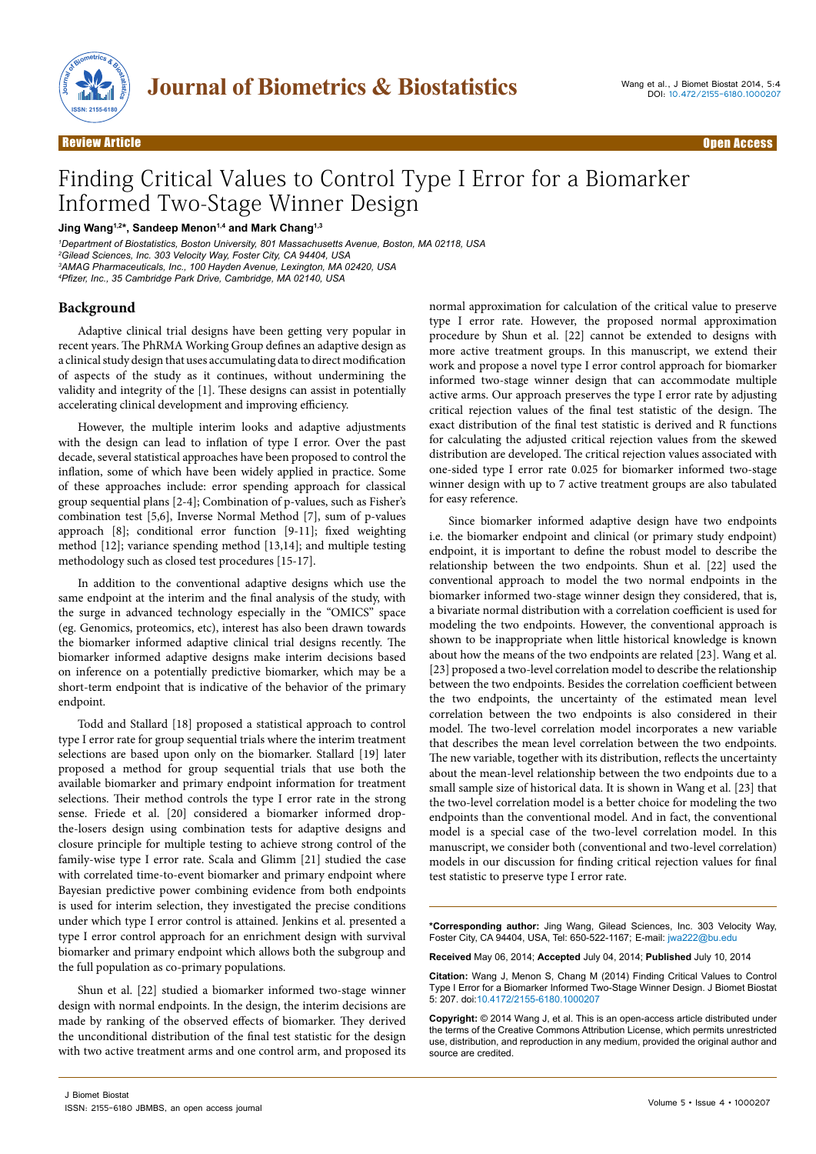

# Finding Critical Values to Control Type I Error for a Biomarker Informed Two-Stage Winner Design

## **Jing Wang1,2\*, Sandeep Menon1,4 and Mark Chang1,3**

*1 Department of Biostatistics, Boston University, 801 Massachusetts Avenue, Boston, MA 02118, USA 2 Gilead Sciences, Inc. 303 Velocity Way, Foster City, CA 94404, USA 3 AMAG Pharmaceuticals, Inc., 100 Hayden Avenue, Lexington, MA 02420, USA 4 Pfizer, Inc., 35 Cambridge Park Drive, Cambridge, MA 02140, USA*

# **Background**

Adaptive clinical trial designs have been getting very popular in recent years. The PhRMA Working Group defines an adaptive design as a clinical study design that uses accumulating data to direct modification of aspects of the study as it continues, without undermining the validity and integrity of the [1]. These designs can assist in potentially accelerating clinical development and improving efficiency.

However, the multiple interim looks and adaptive adjustments with the design can lead to inflation of type I error. Over the past decade, several statistical approaches have been proposed to control the inflation, some of which have been widely applied in practice. Some of these approaches include: error spending approach for classical group sequential plans [2-4]; Combination of p-values, such as Fisher's combination test [5,6], Inverse Normal Method [7], sum of p-values approach [8]; conditional error function [9-11]; fixed weighting method [12]; variance spending method [13,14]; and multiple testing methodology such as closed test procedures [15-17].

In addition to the conventional adaptive designs which use the same endpoint at the interim and the final analysis of the study, with the surge in advanced technology especially in the "OMICS" space (eg. Genomics, proteomics, etc), interest has also been drawn towards the biomarker informed adaptive clinical trial designs recently. The biomarker informed adaptive designs make interim decisions based on inference on a potentially predictive biomarker, which may be a short-term endpoint that is indicative of the behavior of the primary endpoint.

Todd and Stallard [18] proposed a statistical approach to control type I error rate for group sequential trials where the interim treatment selections are based upon only on the biomarker. Stallard [19] later proposed a method for group sequential trials that use both the available biomarker and primary endpoint information for treatment selections. Their method controls the type I error rate in the strong sense. Friede et al. [20] considered a biomarker informed dropthe-losers design using combination tests for adaptive designs and closure principle for multiple testing to achieve strong control of the family-wise type I error rate. Scala and Glimm [21] studied the case with correlated time-to-event biomarker and primary endpoint where Bayesian predictive power combining evidence from both endpoints is used for interim selection, they investigated the precise conditions under which type I error control is attained. Jenkins et al. presented a type I error control approach for an enrichment design with survival biomarker and primary endpoint which allows both the subgroup and the full population as co-primary populations.

Shun et al. [22] studied a biomarker informed two-stage winner design with normal endpoints. In the design, the interim decisions are made by ranking of the observed effects of biomarker. They derived the unconditional distribution of the final test statistic for the design with two active treatment arms and one control arm, and proposed its

normal approximation for calculation of the critical value to preserve type I error rate. However, the proposed normal approximation procedure by Shun et al. [22] cannot be extended to designs with more active treatment groups. In this manuscript, we extend their work and propose a novel type I error control approach for biomarker informed two-stage winner design that can accommodate multiple active arms. Our approach preserves the type I error rate by adjusting critical rejection values of the final test statistic of the design. The exact distribution of the final test statistic is derived and R functions for calculating the adjusted critical rejection values from the skewed distribution are developed. The critical rejection values associated with one-sided type I error rate 0.025 for biomarker informed two-stage winner design with up to 7 active treatment groups are also tabulated for easy reference.

Since biomarker informed adaptive design have two endpoints i.e. the biomarker endpoint and clinical (or primary study endpoint) endpoint, it is important to define the robust model to describe the relationship between the two endpoints. Shun et al. [22] used the conventional approach to model the two normal endpoints in the biomarker informed two-stage winner design they considered, that is, a bivariate normal distribution with a correlation coefficient is used for modeling the two endpoints. However, the conventional approach is shown to be inappropriate when little historical knowledge is known about how the means of the two endpoints are related [23]. Wang et al. [23] proposed a two-level correlation model to describe the relationship between the two endpoints. Besides the correlation coefficient between the two endpoints, the uncertainty of the estimated mean level correlation between the two endpoints is also considered in their model. The two-level correlation model incorporates a new variable that describes the mean level correlation between the two endpoints. The new variable, together with its distribution, reflects the uncertainty about the mean-level relationship between the two endpoints due to a small sample size of historical data. It is shown in Wang et al. [23] that the two-level correlation model is a better choice for modeling the two endpoints than the conventional model. And in fact, the conventional model is a special case of the two-level correlation model. In this manuscript, we consider both (conventional and two-level correlation) models in our discussion for finding critical rejection values for final test statistic to preserve type I error rate.

**\*Corresponding author:** Jing Wang, Gilead Sciences, Inc. 303 Velocity Way, Foster City, CA 94404, USA, Tel: 650-522-1167; E-mail: jwa222@bu.edu

**Received** May 06, 2014; **Accepted** July 04, 2014; **Published** July 10, 2014

**Citation:** Wang J, Menon S, Chang M (2014) Finding Critical Values to Control Type I Error for a Biomarker Informed Two-Stage Winner Design. J Biomet Biostat 5: 207. doi:10.4172/2155-6180.1000207

**Copyright:** © 2014 Wang J, et al. This is an open-access article distributed under the terms of the Creative Commons Attribution License, which permits unrestricted use, distribution, and reproduction in any medium, provided the original author and source are credited.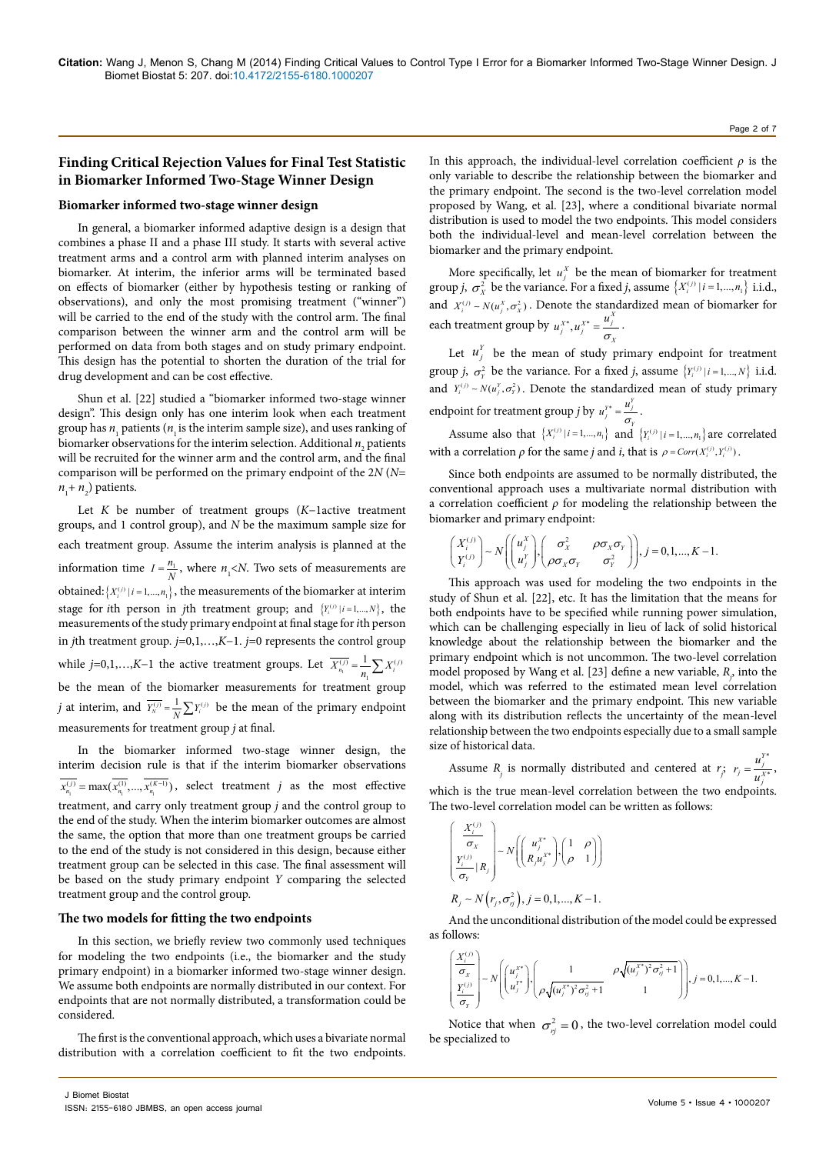# **Finding Critical Rejection Values for Final Test Statistic in Biomarker Informed Two-Stage Winner Design**

#### **Biomarker informed two-stage winner design**

In general, a biomarker informed adaptive design is a design that combines a phase II and a phase III study. It starts with several active treatment arms and a control arm with planned interim analyses on biomarker. At interim, the inferior arms will be terminated based on effects of biomarker (either by hypothesis testing or ranking of observations), and only the most promising treatment ("winner") will be carried to the end of the study with the control arm. The final comparison between the winner arm and the control arm will be performed on data from both stages and on study primary endpoint. This design has the potential to shorten the duration of the trial for drug development and can be cost effective.

Shun et al. [22] studied a "biomarker informed two-stage winner design". This design only has one interim look when each treatment group has  $n_1$  patients ( $n_1$  is the interim sample size), and uses ranking of biomarker observations for the interim selection. Additional  $n_{_2}$  patients will be recruited for the winner arm and the control arm, and the final comparison will be performed on the primary endpoint of the 2*N* (*N*=  $n_1$ +  $n_2$ ) patients.

Let *K* be number of treatment groups (*K*−1active treatment groups, and 1 control group), and *N* be the maximum sample size for each treatment group. Assume the interim analysis is planned at the information time  $I = \frac{n_1}{N}$ , where  $n_1 < N$ . Two sets of measurements are obtained:  ${X_i^{(j)} | i = 1,...,n_j}$ , the measurements of the biomarker at interim stage for *i*th person in *j*th treatment group; and  ${Y_i^{(j)} | i = 1,..., N}$ , the measurements of the study primary endpoint at final stage for *i*th person in *j*th treatment group. *j=*0,1,…,*K*−1. *j=*0 represents the control group while *j*=0,1,...,*K*-1 the active treatment groups. Let  $\overline{X_{n_i}^{(j)}} = \frac{1}{n_1} \sum X_i^{(j)}$ be the mean of the biomarker measurements for treatment group *j* at interim, and  $\overline{Y_N^{(j)}} = \frac{1}{N} \sum Y_i^{(j)}$  be the mean of the primary endpoint measurements for treatment group *j* at final.

In the biomarker informed two-stage winner design, the interim decision rule is that if the interim biomarker observations  $x_{n_1}^{(j)} = \max(x_{n_1}^{(1)},...,x_{n_1}^{(K-1)})$ , select treatment *j* as the most effective treatment, and carry only treatment group *j* and the control group to the end of the study. When the interim biomarker outcomes are almost the same, the option that more than one treatment groups be carried to the end of the study is not considered in this design, because either treatment group can be selected in this case. The final assessment will be based on the study primary endpoint *Y* comparing the selected treatment group and the control group.

#### **The two models for fitting the two endpoints**

In this section, we briefly review two commonly used techniques for modeling the two endpoints (i.e., the biomarker and the study primary endpoint) in a biomarker informed two-stage winner design. We assume both endpoints are normally distributed in our context. For endpoints that are not normally distributed, a transformation could be considered.

The first is the conventional approach, which uses a bivariate normal distribution with a correlation coefficient to fit the two endpoints.

In this approach, the individual-level correlation coefficient *ρ* is the only variable to describe the relationship between the biomarker and the primary endpoint. The second is the two-level correlation model proposed by Wang, et al. [23], where a conditional bivariate normal distribution is used to model the two endpoints. This model considers both the individual-level and mean-level correlation between the biomarker and the primary endpoint.

More specifically, let  $u_j^X$  be the mean of biomarker for treatment group *j*,  $\sigma_X^2$  be the variance. For a fixed *j*, assume  $\{X_i^{(j)} | i = 1, ..., n_1\}$  i.i.d., and  $X_i^{(j)} \sim N(u_i^X, \sigma_X^2)$ . Denote the standardized mean of biomarker for each treatment group by  $u_j^{X^*}, u_j^{X^*} = \frac{u_j^X}{\sigma_X}$ .

Let  $u_j^Y$  be the mean of study primary endpoint for treatment group *j*,  $\sigma_v^2$  be the variance. For a fixed *j*, assume  ${Y_i^{(j)} | i = 1,..., N}$  i.i.d. and  $Y_i^{(j)} \sim N(u_i^y, \sigma_Y^2)$ . Denote the standardized mean of study primary endpoint for treatment group *j* by  $u_j^{y*} = \frac{u_j^y}{\sigma_y}$ .

Assume also that  $\{X_i^{(j)} | i = 1,...,n_1\}$  and  $\{Y_i^{(j)} | i = 1,...,n_1\}$  are correlated with a correlation  $\rho$  for the same *j* and *i*, that is  $\rho = Corr(X_i^{(j)}, Y_i^{(j)})$ .

Since both endpoints are assumed to be normally distributed, the conventional approach uses a multivariate normal distribution with a correlation coefficient *ρ* for modeling the relationship between the biomarker and primary endpoint:

$$
\begin{pmatrix} X_i^{(j)} \\ Y_i^{(j)} \end{pmatrix} \sim N \begin{pmatrix} u_j^X \\ u_j^Y \end{pmatrix}, \begin{pmatrix} \sigma_X^2 & \rho \sigma_X \sigma_Y \\ \rho \sigma_X \sigma_Y & \sigma_Y^2 \end{pmatrix}, j = 0, 1, ..., K - 1.
$$

This approach was used for modeling the two endpoints in the study of Shun et al. [22], etc. It has the limitation that the means for both endpoints have to be specified while running power simulation, which can be challenging especially in lieu of lack of solid historical knowledge about the relationship between the biomarker and the primary endpoint which is not uncommon. The two-level correlation model proposed by Wang et al. [23] define a new variable,  $R_p$ , into the model, which was referred to the estimated mean level correlation between the biomarker and the primary endpoint. This new variable along with its distribution reflects the uncertainty of the mean-level relationship between the two endpoints especially due to a small sample size of historical data.

Assume *R<sub>j</sub>* is normally distributed and centered at  $r_j$ ;  $r_j = \frac{u_j^{y*}}{v_j^{y*}}$ \*  $r_j = \frac{u_j^{Y^*}}{u_j^{X^*}}$ , which is the true mean-level correlation between the two endpoints. The two-level correlation model can be written as follows:

$$
\left(\begin{array}{c}\n\frac{X_i^{(j)}}{\sigma_x} \\
\frac{Y_i^{(j)}}{\sigma_y}|R_j\n\end{array}\right) \sim N\left(\begin{array}{c}\n\mu_x^{x^*} \\
R_y^{x^*}\n\end{array}\right), \left(\begin{array}{cc}1 & \rho \\
\rho & 1\n\end{array}\right)\right)
$$
\n
$$
R_j \sim N(r_j, \sigma_{rj}^2), j = 0, 1, ..., K-1.
$$

And the unconditional distribution of the model could be expressed as follows:

$$
\left(\frac{X_i^{(j)}}{\sigma_X}\right) \sim N\left(\begin{pmatrix}u_j^{X^*}\\ u_j^{Y^*}\end{pmatrix}, \begin{pmatrix}1 & \rho\sqrt{(u_j^{X^*})^2\sigma_{\eta}^2+1} \\ \rho\sqrt{(u_j^{X^*})^2\sigma_{\eta}^2+1} & 1\end{pmatrix}\right), j=0,1,...,K-1.
$$

Notice that when  $\sigma_{ri}^2 = 0$ , the two-level correlation model could be specialized to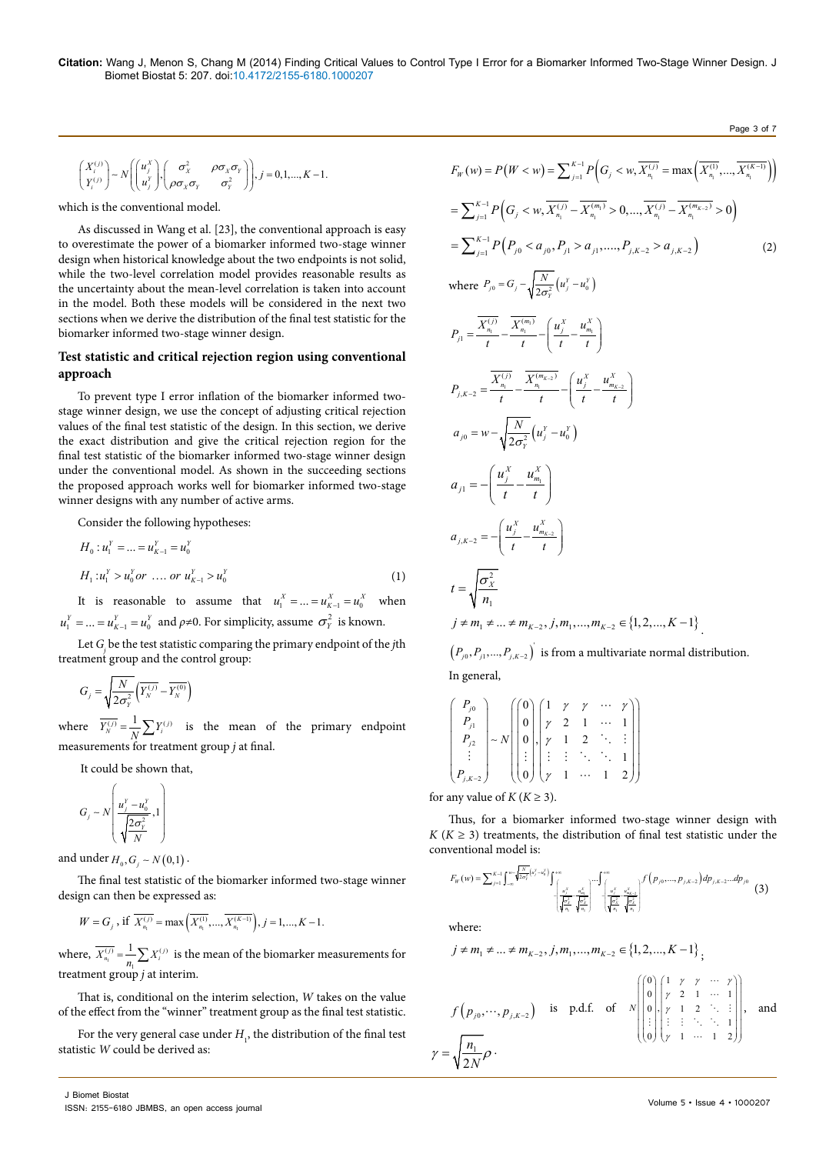$$
\begin{pmatrix} X_i^{(j)} \\ Y_i^{(j)} \end{pmatrix} \sim N \left( \begin{pmatrix} u_j^X \\ u_j^Y \end{pmatrix}, \begin{pmatrix} \sigma_x^2 & \rho \sigma_x \sigma_y \\ \rho \sigma_x \sigma_y & \sigma_y^2 \end{pmatrix} \right), j = 0, 1, ..., K - 1.
$$

which is the conventional model.

As discussed in Wang et al. [23], the conventional approach is easy to overestimate the power of a biomarker informed two-stage winner design when historical knowledge about the two endpoints is not solid, while the two-level correlation model provides reasonable results as the uncertainty about the mean-level correlation is taken into account in the model. Both these models will be considered in the next two sections when we derive the distribution of the final test statistic for the biomarker informed two-stage winner design.

# **Test statistic and critical rejection region using conventional approach**

To prevent type I error inflation of the biomarker informed twostage winner design, we use the concept of adjusting critical rejection values of the final test statistic of the design. In this section, we derive the exact distribution and give the critical rejection region for the final test statistic of the biomarker informed two-stage winner design under the conventional model. As shown in the succeeding sections the proposed approach works well for biomarker informed two-stage winner designs with any number of active arms.

Consider the following hypotheses:

$$
H_0: u_1^Y = \dots = u_{K-1}^Y = u_0^Y
$$
  
\n
$$
H_1: u_1^Y > u_0^Y or \dots or \ u_{K-1}^Y > u_0^Y
$$
 (1)

It is reasonable to assume that  $u_1^X = ... = u_{K-1}^X = u_0^X$  when  $u_1^Y = ... = u_{K-1}^Y = u_0^Y$  and  $\rho \neq 0$ . For simplicity, assume  $\sigma_Y^2$  is known.

Let *Gj* be the test statistic comparing the primary endpoint of the *j*th treatment group and the control group:

$$
G_j = \sqrt{\frac{N}{2\sigma_Y^2}} \left( \overline{Y_N^{(j)}} - \overline{Y_N^{(0)}} \right)
$$

where  $\overline{Y_N^{(j)}} = \frac{1}{N} \sum Y_i^{(j)}$  is the mean of the primary endpoint measurements for treatment group *j* at final.

It could be shown that,

$$
G_j \sim N\left(\frac{u_j^Y - u_0^Y}{\sqrt{\frac{2\sigma_Y^2}{N}}}, 1\right)
$$

and under  $H_0, G_i \sim N(0,1)$ .

The final test statistic of the biomarker informed two-stage winner design can then be expressed as:

$$
W = G_j, \text{ if } \overline{X_{n_1}^{(j)}} = \max\left(\overline{X_{n_1}^{(1)}}, \dots, \overline{X_{n_1}^{(K-1)}}\right), j = 1, ..., K - 1.
$$

where,  $\overline{X_{n_i}^{(j)}} = \frac{1}{n_i} \sum X_i^{(j)}$  is the mean of the biomarker measurements for 1 treatment group *j* at interim.

That is, conditional on the interim selection, *W* takes on the value of the effect from the "winner" treatment group as the final test statistic.

For the very general case under  $H_{1}$ , the distribution of the final test statistic *W* could be derived as:

$$
F_{W}(w) = P(W < w) = \sum_{j=1}^{K-1} P\left(G_{j} < w, \overline{X_{n_{i}}^{(j)}} = \max\left(\overline{X_{n_{i}}^{(1)}, ..., \overline{X_{n_{i}}^{(K-1)}}}\right)\right)
$$
\n
$$
= \sum_{j=1}^{K-1} P\left(G_{j} < w, \overline{X_{n_{i}}^{(j)}} - \overline{X_{n_{i}}^{(m_{i}}}) > 0, ..., \overline{X_{n_{i}}^{(j)}} - \overline{X_{n_{i}}^{(m_{K-2})}} > 0\right)
$$
\n
$$
= \sum_{j=1}^{K-1} P\left(P_{j0} < a_{j0}, P_{j1} > a_{j1}, ..., P_{j,K-2} > a_{j,K-2}\right) \qquad (2)
$$
\nwhere  $P_{j0} = G_{j} - \sqrt{\frac{N}{2\sigma_{y}^{2}}}\left(u_{j}^{Y} - u_{0}^{Y}\right)$ \n
$$
P_{j1} = \frac{\overline{X_{n_{i}}^{(j)}}}{t} - \frac{\overline{X_{n_{i}}^{(m_{i})}}}{t} - \left(\frac{u_{j}^{X}}{t} - \frac{u_{m_{i}}^{X}}{t}\right)
$$
\n
$$
P_{j,K-2} = \frac{\overline{X_{n_{i}}^{(j)}}}{t} - \frac{\overline{X_{n_{i}}^{(m_{K-2})}}}{t} - \left(\frac{u_{j}^{X}}{t} - \frac{u_{m_{K-2}}^{X}}{t}\right)
$$
\n
$$
a_{j0} = w - \sqrt{\frac{N}{2\sigma_{y}^{2}}}\left(u_{j}^{Y} - u_{0}^{Y}\right)
$$
\n
$$
a_{j1} = -\left(\frac{u_{j}^{X}}{t} - \frac{u_{m_{K-2}}^{X}}{t}\right)
$$
\n
$$
t = \sqrt{\frac{\sigma_{X}^{2}}{n_{1}}}
$$
\n
$$
j \neq m_{1} \neq ... \neq m_{K-2}, j, m_{1}, ..., m_{K-2} \in \{1, 2, ..., K-1\}
$$

Page 3 of 7

 $\left( P_{j0}, P_{j1},..., P_{j,K-2} \right)^{T}$  is from a multivariate normal distribution. In general,

$$
\begin{pmatrix} P_{j0} \\ P_{j1} \\ P_{j2} \\ \vdots \\ P_{jK-2} \end{pmatrix} \sim N \begin{pmatrix} 0 \\ 0 \\ 0 \\ \vdots \\ 0 \end{pmatrix}, \begin{pmatrix} 1 & \gamma & \gamma & \cdots & \gamma \\ \gamma & 2 & 1 & \cdots & 1 \\ \gamma & 1 & 2 & \ddots & \vdots \\ \vdots & \vdots & \ddots & \ddots & 1 \\ \gamma & 1 & \cdots & 1 & 2 \end{pmatrix}
$$

for any value of  $K$  ( $K \geq 3$ ).

Thus, for a biomarker informed two-stage winner design with  $K$  ( $K \geq 3$ ) treatments, the distribution of final test statistic under the conventional model is:

$$
F_{w}(w) = \sum_{j=1}^{K-1} \int_{-\infty}^{w} \sqrt{\frac{x^{2}}{2\sigma_{i}^{2}}}(u^{y} - u^{y}) \int_{-\frac{u^{2}}{\sqrt{\sigma_{i}^{2}}}}^{\infty} \int_{-\frac{u^{2}}{\sqrt{\sigma_{i}^{2}}}}^{\infty} \frac{u^{2}}{\sqrt{\sigma_{i}^{2}}}\Bigg)^{\infty} \int_{-\frac{u^{2}}{\sqrt{\sigma_{i}^{2}}}}^{\infty} \int_{-\frac{u^{2}}{\sqrt{\sigma_{i}^{2}}}}^{\infty} \int_{-\frac{u^{2}}{\sqrt{\sigma_{i}^{2}}}}^{\infty} \int_{-\frac{u^{2}}{\sqrt{\sigma_{i}^{2}}}}^{\infty} f(p_{j0},...,p_{j,K-2}) dp_{j,K-2}...dp_{j0}
$$
(3)

where:

$$
j \neq m_1 \neq \dots \neq m_{K-2}, j, m_1, \dots, m_{K-2} \in \{1, 2, \dots, K-1\},
$$

$$
f(p_{j0},\dots,p_{j,K-2}) \text{ is p.d.f. of } \sqrt{\begin{pmatrix} 0 \\ 0 \\ 0 \\ \vdots \\ 0 \end{pmatrix} \begin{pmatrix} 1 & \gamma & \gamma & \cdots & \gamma \\ \gamma & 2 & 1 & \cdots & 1 \\ \gamma & 1 & 2 & \ddots & \vdots \\ \vdots & \vdots & \ddots & \ddots & 1 \\ \gamma & 1 & \cdots & 1 & 2 \end{pmatrix}}, \text{ and}
$$

$$
\gamma = \sqrt{\frac{n_1}{2N}} \rho.
$$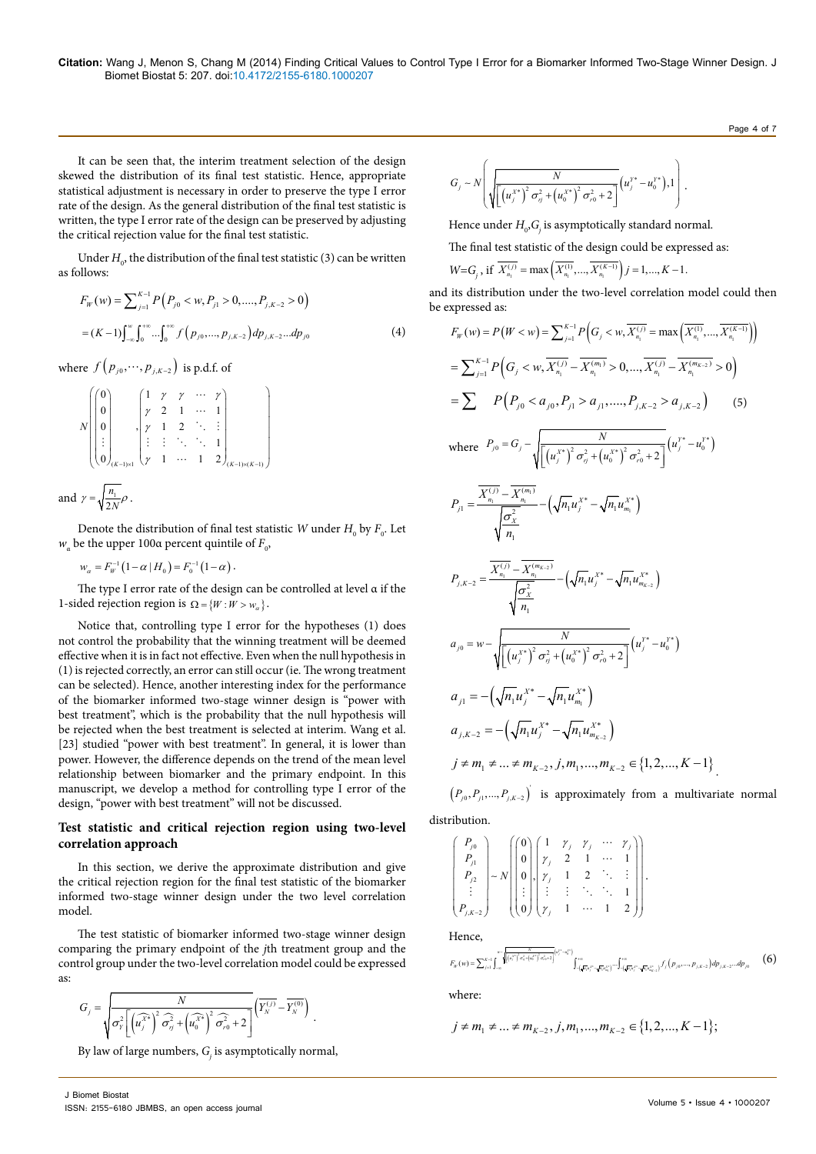It can be seen that, the interim treatment selection of the design skewed the distribution of its final test statistic. Hence, appropriate statistical adjustment is necessary in order to preserve the type I error rate of the design. As the general distribution of the final test statistic is written, the type I error rate of the design can be preserved by adjusting the critical rejection value for the final test statistic.

Under  $H_0$ , the distribution of the final test statistic (3) can be written as follows:

$$
F_W(w) = \sum_{j=1}^{K-1} P\left(P_{j0} < w, P_{j1} > 0, \dots, P_{j,K-2} > 0\right)
$$
\n
$$
= (K-1) \int_{-\infty}^w \int_0^{+\infty} \dots \int_0^{+\infty} f\left(p_{j0}, \dots, p_{j,K-2}\right) dp_{j,K-2} \dots dp_{j0} \tag{4}
$$

where  $f(p_{i0}, \dots, p_{i,K-2})$  is p.d.f. of

$$
N\begin{pmatrix} 0 \\ 0 \\ 0 \\ \vdots \\ 0 \\ 0 \end{pmatrix}, \begin{pmatrix} 1 & \gamma & \gamma & \cdots & \gamma \\ \gamma & 2 & 1 & \cdots & 1 \\ \gamma & 1 & 2 & \ddots & \vdots \\ \vdots & \vdots & \vdots & \ddots & \ddots & 1 \\ \gamma & 1 & \cdots & 1 & 2 \end{pmatrix}_{(K-1)\times(K-1)} \begin{pmatrix} 0 \\ 0 \\ \vdots \\ 0 \end{pmatrix}
$$
  
and  $\gamma = \sqrt{\frac{n_1}{2N}} \rho$ .

Denote the distribution of final test statistic  $W$  under  $H_{\scriptscriptstyle 0}$  by  $F_{\scriptscriptstyle 0}.$  Let  $w_a$  be the upper 100α percent quintile of  $F_0$ ,

 $w_{\alpha} = F_{W}^{-1} (1 - \alpha \mid H_{0}) = F_{0}^{-1} (1 - \alpha)$ .

The type I error rate of the design can be controlled at level α if the 1-sided rejection region is  $Q = \{W : W > w_{\alpha}\}.$ 

Notice that, controlling type I error for the hypotheses (1) does not control the probability that the winning treatment will be deemed effective when it is in fact not effective. Even when the null hypothesis in (1) is rejected correctly, an error can still occur (ie. The wrong treatment can be selected). Hence, another interesting index for the performance of the biomarker informed two-stage winner design is "power with best treatment", which is the probability that the null hypothesis will be rejected when the best treatment is selected at interim. Wang et al. [23] studied "power with best treatment". In general, it is lower than power. However, the difference depends on the trend of the mean level relationship between biomarker and the primary endpoint. In this manuscript, we develop a method for controlling type I error of the design, "power with best treatment" will not be discussed.

# **Test statistic and critical rejection region using two-level correlation approach**

In this section, we derive the approximate distribution and give the critical rejection region for the final test statistic of the biomarker informed two-stage winner design under the two level correlation model.

The test statistic of biomarker informed two-stage winner design comparing the primary endpoint of the *j*th treatment group and the control group under the two-level correlation model could be expressed as:

$$
G_j = \sqrt{\frac{N}{\sigma^2_Y \left[\left(\widehat{u_j^X}^* \right)^2\widehat{\sigma^2_{\eta}} + \left(\widehat{u_0^X}^* \right)^2\widehat{\sigma^2_{r0}} + 2\right]}} \left(\overline{Y^{(j)}_N} - \overline{Y^{(0)}_N} \right) \; .
$$

By law of large numbers,  $G_{\!\!j}$  is asymptotically normal,

$$
G_j \sim N \left( \sqrt{\frac{N}{\left[ \left( u_j^{\chi^*} \right)^2 \sigma_{\eta}^2 + \left( u_0^{\chi^*} \right)^2 \sigma_{r0}^2 + 2 \right]}} \left( u_j^{\chi^*} - u_0^{\chi^*} \right), 1 \right).
$$

Hence under  $H_0$ , $G_j$  is asymptotically standard normal.

The final test statistic of the design could be expressed as:

$$
W = G_j, \text{ if } \overline{X_{n_1}^{(j)}} = \max\left(\overline{X_{n_1}^{(1)}}, \dots, \overline{X_{n_i}^{(K-1)}}\right) j = 1, ..., K-1.
$$

and its distribution under the two-level correlation model could then be expressed as:

$$
F_{W}(w) = P(W < w) = \sum_{j=1}^{K-1} P\left(G_{j} < w, \overline{X_{n_{1}}}^{(j)} = \max\left(\overline{X_{n_{1}}}^{(1)}, ..., \overline{X_{n_{1}}}^{(K-1)}\right)\right)
$$
\n
$$
= \sum_{j=1}^{K-1} P\left(G_{j} < w, \overline{X_{n_{1}}}^{(j)} - \overline{X_{n_{1}}}^{(m_{1})} > 0, ..., \overline{X_{n_{1}}}^{(j)} - \overline{X_{n_{1}}}^{(m_{K-2})} > 0\right)
$$
\n
$$
= \sum P\left(P_{j0} < a_{j0}, P_{j1} > a_{j1}, ..., P_{j,K-2} > a_{j,K-2}\right) \qquad (5)
$$
\nwhere 
$$
P_{j0} = G_{j} - \sqrt{\frac{N}{\left[\left(u_{j}^{K*}\right)^{2} \sigma_{j}^{2} + \left(u_{0}^{K*}\right)^{2} \sigma_{r0}^{2} + 2\right]}} \left(u_{j}^{V*} - u_{0}^{V*}\right)
$$
\n
$$
P_{j1} = \frac{\overline{X_{n_{1}}}^{(j)} - \overline{X_{n_{1}}}^{(m_{1})}}{\sqrt{\sigma_{X}^{2}}} - \left(\sqrt{n_{1}}u_{j}^{X*} - \sqrt{n_{1}}u_{m_{1}}^{X*}\right)
$$
\n
$$
P_{j,K-2} = \frac{\overline{X_{n_{1}}}^{(j)} - \overline{X_{n_{1}}}^{(m_{K-2})}}{\sqrt{\sigma_{X}^{2}}} - \left(\sqrt{n_{1}}u_{j}^{X*} - \sqrt{n_{1}}u_{m_{K-2}}^{X*}\right)
$$
\n
$$
a_{j0} = w - \sqrt{\frac{N}{\left[\left(u_{j}^{X*}\right)^{2} \sigma_{j}^{2} + \left(u_{0}^{X*}\right)^{2} \sigma_{r0}^{2} + 2\right]}} \left(u_{j}^{V*} - u_{0}^{V*}\right)
$$
\n
$$
a_{j1} = -\left(\sqrt{n_{1}}u_{j}^{X*} - \sqrt{n_{1}}u_{m_{1}}^{X*}\right)
$$
\n
$$
a_{j,K-2} = -\left(\sqrt{n_{1}}u_{j}^{X*} - \sqrt{n_{1}}u_{m
$$

 $(P_{j0}, P_{j1},..., P_{j,K-2})$  is approximately from a multivariate normal distribution.

$$
\begin{pmatrix}\nP_{j0} \\
P_{j1} \\
P_{j2} \\
\vdots \\
P_{j,k-2}\n\end{pmatrix} \sim N \begin{pmatrix}\n0 \\
0 \\
0 \\
\vdots \\
0\n\end{pmatrix}\n\begin{pmatrix}\n1 & \gamma_{j} & \gamma_{j} & \cdots & \gamma_{j} \\
\gamma_{j} & 2 & 1 & \cdots & 1 \\
\gamma_{j} & 1 & 2 & \ddots & \vdots \\
\vdots & \vdots & \ddots & \ddots & 1 \\
\gamma_{j} & 1 & \cdots & 1 & 2\n\end{pmatrix}.
$$
\nHence,\n
$$
F_{\pi}(\mathbf{w}) = \sum_{j=1}^{K} \int_{-\infty}^{\infty} \sqrt{\left[ (\sigma_{j}^{*})^{2} \sigma_{\pi}^{*} (\mathbf{w}_{j}^{*})^{2} \sigma_{\pi}^{*} (\mathbf{w}_{j}^{*})^{2} \sigma_{\pi}^{*} (\mathbf{w}_{j}^{*})^{2} \sigma_{\pi}^{*} (\mathbf{w}_{j}^{*})^{2} \sigma_{\pi}^{*} (\mathbf{w}_{j}^{*})^{2} \sigma_{\pi}^{*} (\mathbf{w}_{j}^{*})^{2} \sigma_{\pi}^{*} (\mathbf{w}_{j}^{*})^{2} \sigma_{\pi}^{*} (\mathbf{w}_{j}^{*})^{2} \sigma_{\pi}^{*} (\mathbf{w}_{j}^{*})^{2} \sigma_{\pi}^{*} (\mathbf{w}_{j}^{*} - \sqrt{\mathbf{w}} \sigma_{\pi}^{*} \sigma_{\pi}^{*} (\mathbf{w}_{j}^{*})^{2} \sigma_{\pi}^{*} (\mathbf{w}_{j}^{*} - \sqrt{\mathbf{w}} \sigma_{\pi}^{*} \sigma_{\pi}^{*})^{2} \sigma_{\pi}^{*} (\mathbf{w}_{j}^{*} - \sqrt{\mathbf{w}} \sigma_{\pi}^{*} (\mathbf{w}_{j}^{*})^{2} \sigma_{\pi}^{*} (\mathbf{w}_{j}^{*} - \sqrt{\mathbf{w}} \sigma_{\pi}^{*} (\mathbf{w}_{j}^{*} - \sqrt{\mathbf{w}} \sigma_{\pi}^{*} (\mathbf{w}_{j}^{*})^{2} \sigma_{\pi}^{*} (\mathbf{w}_{j}^{*})^{2} \sigma_{\pi}^{*} (\mathbf{w}_{j}^{*} - \sqrt{\mathbf{w}} \sigma_{\pi}^{*
$$

where:

$$
j \neq m_1 \neq \dots \neq m_{K-2}, j, m_1, \dots, m_{K-2} \in \{1, 2, \dots, K-1\};
$$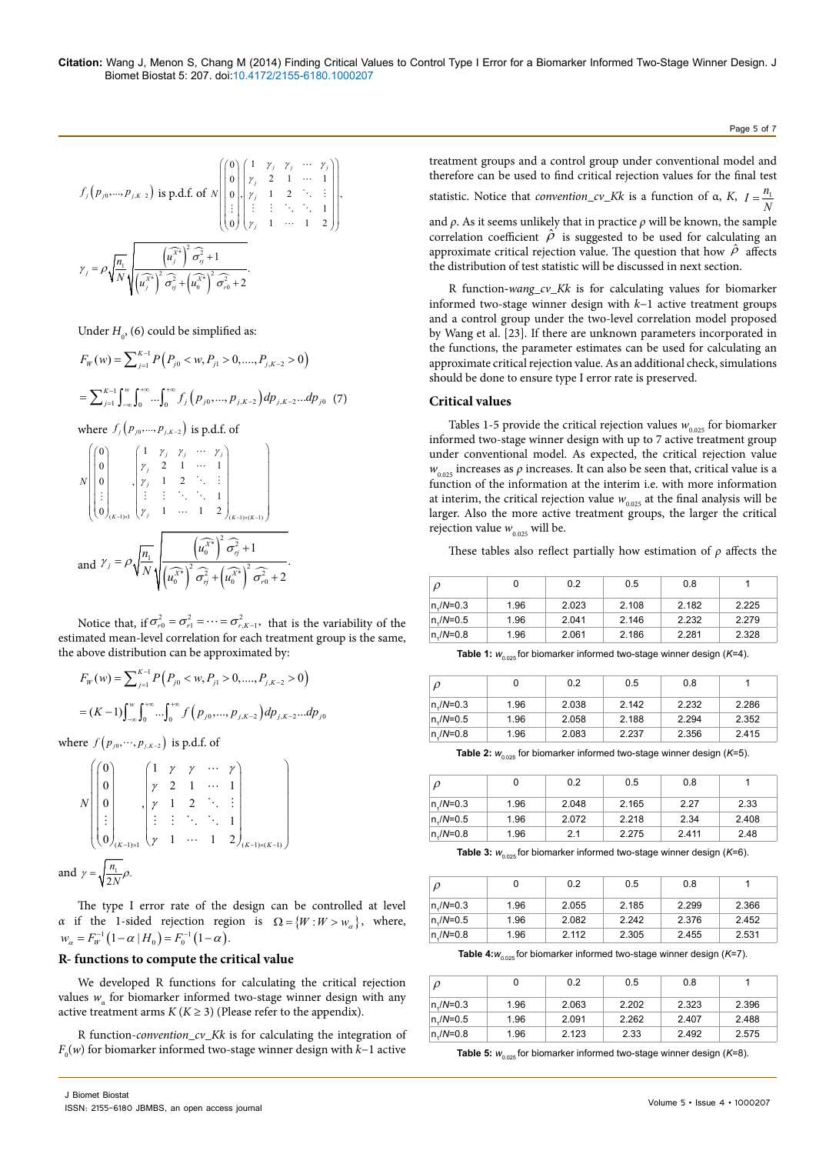$$
f_j(p_{j0},...,p_{j,K-2}) \text{ is p.d.f. of } N \begin{pmatrix} 0 \\ 0 \\ 0 \\ \vdots \\ 0 \end{pmatrix} \begin{pmatrix} 1 & \gamma_j & \gamma_j & \cdots & \gamma_j \\ \gamma_j & 2 & 1 & \cdots & 1 \\ \gamma_j & 1 & 2 & \ddots & \vdots \\ \vdots & \vdots & \vdots & \ddots & \ddots & 1 \\ \gamma_j & 1 & \cdots & 1 & 2 \end{pmatrix} \begin{pmatrix} 0 \\ 0 \\ \vdots \\ 0 \end{pmatrix},
$$

$$
\gamma_j = \rho \sqrt{\frac{n_1}{N}} \sqrt{\frac{(\vec{u_j}^*)^2}{(\vec{u_j}^*)^2} \frac{\sigma_j^2}{\sigma_{\eta}^2 + (\vec{u_0}^*)^2} \frac{\sigma_j^2}{\sigma_{\eta}^2 + 2}}.
$$

Under  $H_0$ , (6) could be simplified as:

$$
F_W(w) = \sum_{j=1}^{K-1} P\left(P_{j0} < w, P_{j1} > 0, \dots, P_{j,K-2} > 0\right)
$$
\n
$$
= \sum_{j=1}^{K-1} \int_{-\infty}^{w} \int_{0}^{+\infty} \dots \int_{0}^{+\infty} f_j\left(p_{j0}, \dots, p_{j,K-2}\right) dp_{j,K-2} \dots dp_{j0} \tag{7}
$$

where  $f_j(p_{j0},...,p_{j,K-2})$  is p.d.f. of

$$
N\begin{pmatrix} 0 \\ 0 \\ 0 \\ \vdots \\ 0 \end{pmatrix}, \begin{cases} 1 & \gamma_j & \gamma_j & \cdots & \gamma_j \\ \gamma_j & 2 & 1 & \cdots & 1 \\ \gamma_j & 1 & 2 & \ddots & \vdots \\ \vdots & \vdots & \ddots & \ddots & 1 \\ \gamma_j & 1 & \cdots & 1 & 2 \end{cases}_{(K-1)\times(K-1)} \begin{cases} 0 \\ \gamma_j & \gamma_j & \gamma_j \\ \vdots & \vdots & \ddots & \ddots \end{cases}
$$
and  $\gamma_j = \rho \sqrt{\frac{n_1}{N}} \sqrt{\frac{n_1}{(\hat{u}_0^{X*})^2 \hat{\sigma}_{\gamma_j}^2 + (u_0^{X*})^2 \hat{\sigma}_{\gamma_0}^2 + 2}}.$ 

Notice that, if  $\sigma_{r0}^2 = \sigma_{r1}^2 = \cdots = \sigma_{r,K-1}^2$ , that is the variability of the estimated mean-level correlation for each treatment group is the same, the above distribution can be approximated by:

$$
F_W(w) = \sum_{j=1}^{K-1} P(P_{j0} < w, P_{j1} > 0, \dots, P_{j,K-2} > 0)
$$
\n
$$
= (K-1) \int_{-\infty}^w \int_0^{+\infty} \dots \int_0^{+\infty} f(p_{j0}, \dots, p_{j,K-2}) \, dp_{j,K-2} \dots \, dp_{j0}
$$

where  $f(p_{j0}, \dots, p_{j,K-2})$  is p.d.f. of

|     |                  |                             | $\gamma$                    |          | $\cdots$ |                          |  |
|-----|------------------|-----------------------------|-----------------------------|----------|----------|--------------------------|--|
|     |                  |                             | $\gamma$                    |          |          |                          |  |
|     | ÷                |                             | $\mathcal{A}^{\mathcal{A}}$ |          |          |                          |  |
|     | $\boldsymbol{0}$ | $K-1)$ $\times$ 1           | $\gamma$                    | $\ldots$ |          | 2)<br>$(K-1)\times(K-1)$ |  |
| and |                  | $\frac{n_1}{\cdots \rho}$ . |                             |          |          |                          |  |

The type I error rate of the design can be controlled at level *α* if the 1-sided rejection region is  $\Omega = \{W : W > w_{\alpha}\}\$ , where,  $w_{\alpha} = F_W^{-1} (1 - \alpha \mid H_0) = F_0^{-1} (1 - \alpha).$ 

#### **R- functions to compute the critical value**

We developed R functions for calculating the critical rejection values  $w_{\alpha}$  for biomarker informed two-stage winner design with any active treatment arms  $K(K \geq 3)$  (Please refer to the appendix).

R function-*convention\_cv\_Kk* is for calculating the integration of *F*0 (*w*) for biomarker informed two-stage winner design with *k*−1 active treatment groups and a control group under conventional model and therefore can be used to find critical rejection values for the final test statistic. Notice that *convention\_cv\_Kk* is a function of  $\alpha$ , *K*,  $I = \frac{n_1}{N}$ and  $\rho$ . As it seems unlikely that in practice  $\rho$  will be known, the sample correlation coefficient  $\hat{\rho}$  is suggested to be used for calculating an approximate critical rejection value. The question that how  $\hat{\rho}$  affects the distribution of test statistic will be discussed in next section.

Page 5 of 7

R function**-***wang\_cv\_Kk* is for calculating values for biomarker informed two-stage winner design with *k*−1 active treatment groups and a control group under the two-level correlation model proposed by Wang et al. [23]. If there are unknown parameters incorporated in the functions, the parameter estimates can be used for calculating an approximate critical rejection value. As an additional check, simulations should be done to ensure type I error rate is preserved.

### **Critical values**

Tables 1-5 provide the critical rejection values  $w_{0.025}$  for biomarker informed two-stage winner design with up to 7 active treatment group under conventional model. As expected, the critical rejection value  $w_{0.025}$  increases as  $\rho$  increases. It can also be seen that, critical value is a function of the information at the interim i.e. with more information at interim, the critical rejection value  $w_{0.025}$  at the final analysis will be larger. Also the more active treatment groups, the larger the critical rejection value  $w_{0.025}$  will be.

These tables also reflect partially how estimation of *ρ* affects the

| $\mathcal{D}$ |      | 0.2   | 0.5   | 0.8   |       |
|---------------|------|-------|-------|-------|-------|
| $n/M = 0.3$   | 1.96 | 2.023 | 2.108 | 2.182 | 2.225 |
| $n/M = 0.5$   | 1.96 | 2.041 | 2.146 | 2.232 | 2.279 |
| $n/M=0.8$     | 1.96 | 2.061 | 2.186 | 2.281 | 2.328 |

**Table 1:**  $W_{0.025}$  for biomarker informed two-stage winner design ( $K=4$ ).

| $\rho$      |      | 0.2   | 0.5   | 0.8   |       |
|-------------|------|-------|-------|-------|-------|
| $n/M = 0.3$ | 1.96 | 2.038 | 2.142 | 2.232 | 2.286 |
| $n/M = 0.5$ | 1.96 | 2.058 | 2.188 | 2.294 | 2.352 |
| n,/N=0.8    | 1.96 | 2.083 | 2.237 | 2.356 | 2.415 |

**Table 2:**  $W_{0.025}$  for biomarker informed two-stage winner design ( $K=5$ ).

| $\rho$      | 0    | 0.2   | 0.5   | 0.8   |       |
|-------------|------|-------|-------|-------|-------|
| $n/M = 0.3$ | 1.96 | 2.048 | 2.165 | 2.27  | 2.33  |
| $n/M = 0.5$ | 1.96 | 2.072 | 2.218 | 2.34  | 2.408 |
| $n/N = 0.8$ | 1.96 | 2.1   | 2.275 | 2.411 | 2.48  |

**Table 3:**  $W_{0.025}$  for biomarker informed two-stage winner design ( $K=6$ ).

|             |      | 0.2   | 0.5   | 0.8   |       |
|-------------|------|-------|-------|-------|-------|
| $n/M=0.3$   | 1.96 | 2.055 | 2.185 | 2.299 | 2.366 |
| $n/M = 0.5$ | 1.96 | 2.082 | 2.242 | 2.376 | 2.452 |
| $n/N = 0.8$ | 1.96 | 2.112 | 2.305 | 2.455 | 2.531 |

**Table 4:** $w_{0.025}$  for biomarker informed two-stage winner design ( $K=7$ ).

| ρ         |      | 0.2   | 0.5   | 0.8   |       |
|-----------|------|-------|-------|-------|-------|
| $n/M=0.3$ | 1.96 | 2.063 | 2.202 | 2.323 | 2.396 |
| $n/M=0.5$ | 1.96 | 2.091 | 2.262 | 2.407 | 2.488 |
| $n/M=0.8$ | 1.96 | 2.123 | 2.33  | 2.492 | 2.575 |

**Table 5:**  $W_{0.025}$  for biomarker informed two-stage winner design ( $K=8$ ).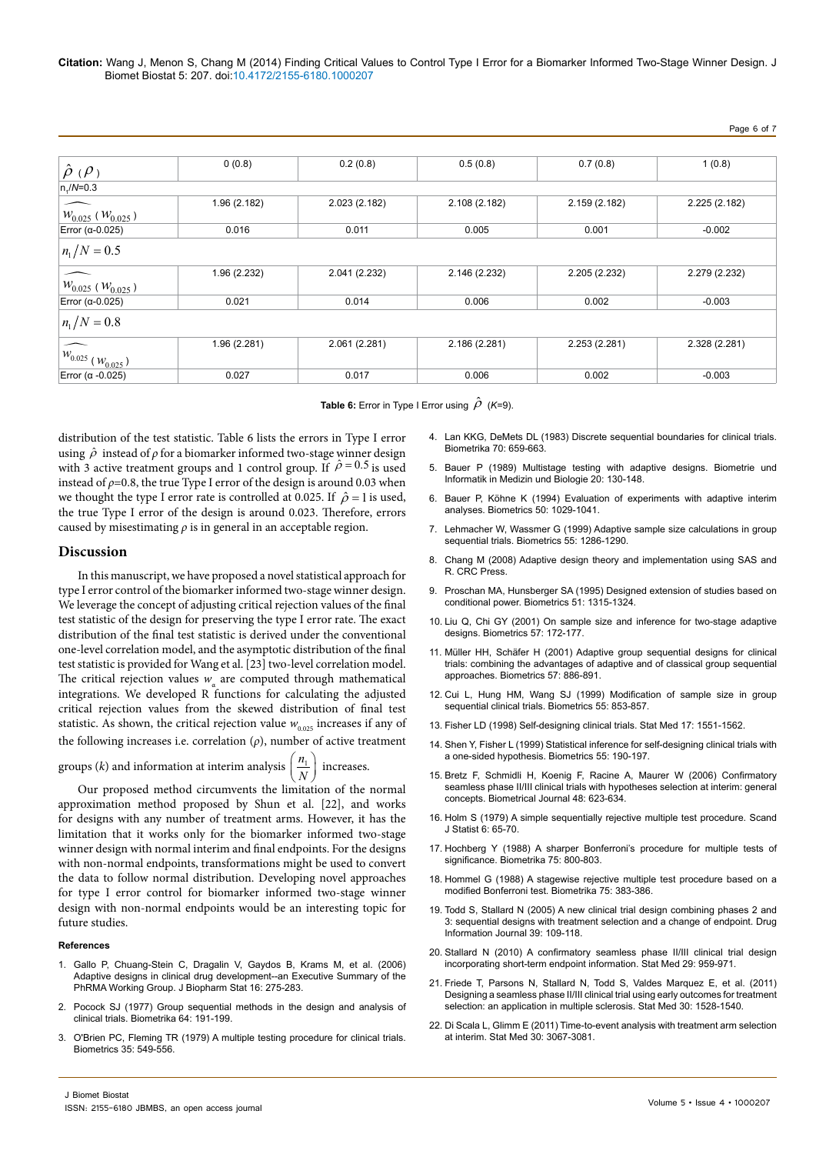**Citation:** Wang J, Menon S, Chang M (2014) Finding Critical Values to Control Type I Error for a Biomarker Informed Two-Stage Winner Design. J Biomet Biostat 5: 207. doi:10.4172/2155-6180.1000207

| $\hat{\rho}$ ( $\rho$ )     | 0(0.8)       | 0.2(0.8)      | 0.5(0.8)      | 0.7(0.8)      | 1(0.8)        |
|-----------------------------|--------------|---------------|---------------|---------------|---------------|
| $n_1/N=0.3$                 |              |               |               |               |               |
| $W_{0.025}$ ( $W_{0.025}$ ) | 1.96(2.182)  | 2.023 (2.182) | 2.108 (2.182) | 2.159 (2.182) | 2.225 (2.182) |
| Error ( $\alpha$ -0.025)    | 0.016        | 0.011         | 0.005         | 0.001         | $-0.002$      |
| $n_1/N = 0.5$               |              |               |               |               |               |
| $W_{0.025}$ ( $W_{0.025}$ ) | 1.96 (2.232) | 2.041 (2.232) | 2.146 (2.232) | 2.205 (2.232) | 2.279 (2.232) |
| Error ( $\alpha$ -0.025)    | 0.021        | 0.014         | 0.006         | 0.002         | $-0.003$      |
| $n_1/N = 0.8$               |              |               |               |               |               |
| $W_{0.025}$ $(W_{0.025})$   | 1.96 (2.281) | 2.061 (2.281) | 2.186 (2.281) | 2.253 (2.281) | 2.328 (2.281) |
| Error ( $\alpha$ -0.025)    | 0.027        | 0.017         | 0.006         | 0.002         | $-0.003$      |

**Table 6:** Error in Type I Error using  $\hat{\rho}$  (*K*=9).

distribution of the test statistic. Table 6 lists the errors in Type I error using  $\hat{\rho}$  instead of  $\rho$  for a biomarker informed two-stage winner design with 3 active treatment groups and 1 control group. If  $\hat{\rho} = 0.5$  is used instead of  $\rho$ =0.8, the true Type I error of the design is around 0.03 when we thought the type I error rate is controlled at 0.025. If  $\hat{\rho} = 1$  is used, the true Type I error of the design is around 0.023. Therefore, errors caused by misestimating *ρ* is in general in an acceptable region.

#### **Discussion**

In this manuscript, we have proposed a novel statistical approach for type I error control of the biomarker informed two-stage winner design. We leverage the concept of adjusting critical rejection values of the final test statistic of the design for preserving the type I error rate. The exact distribution of the final test statistic is derived under the conventional one-level correlation model, and the asymptotic distribution of the final test statistic is provided for Wang et al. [23] two-level correlation model. The critical rejection values  $w_a$  are computed through mathematical integrations. We developed R functions for calculating the adjusted critical rejection values from the skewed distribution of final test statistic. As shown, the critical rejection value  $w_{0.025}$  increases if any of the following increases i.e. correlation (*ρ*), number of active treatment

groups (*k*) and information at interim analysis  $\left(\frac{n_1}{N}\right)$  increases.

Our proposed method circumvents the limitation of the normal approximation method proposed by Shun et al. [22], and works for designs with any number of treatment arms. However, it has the limitation that it works only for the biomarker informed two-stage winner design with normal interim and final endpoints. For the designs with non-normal endpoints, transformations might be used to convert the data to follow normal distribution. Developing novel approaches for type I error control for biomarker informed two-stage winner design with non-normal endpoints would be an interesting topic for future studies.

#### **References**

- 1. [Gallo P, Chuang-Stein C, Dragalin V, Gaydos B, Krams M, et al. \(2006\)](http://www.ncbi.nlm.nih.gov/pubmed/16724485) [Adaptive designs in clinical drug development--an Executive Summary of the](http://www.ncbi.nlm.nih.gov/pubmed/16724485) [PhRMA Working Group. J Biopharm Stat 16: 275-283.](http://www.ncbi.nlm.nih.gov/pubmed/16724485)
- 2. [Pocock SJ \(1977\) Group sequential methods in the design and analysis of](http://biomet.oxfordjournals.org/content/64/2/191.abstract) [clinical trials. Biometrika 64: 191-199.](http://biomet.oxfordjournals.org/content/64/2/191.abstract)
- 3. [O'Brien PC, Fleming TR \(1979\) A multiple testing procedure for clinical trials.](http://www.ncbi.nlm.nih.gov/pubmed/497341) [Biometrics 35: 549-556.](http://www.ncbi.nlm.nih.gov/pubmed/497341)
- 4. [Lan KKG, DeMets DL \(1983\) Discrete sequential boundaries for clinical trials.](http://biomet.oxfordjournals.org/content/70/3/659.abstract)  [Biometrika 70: 659-663.](http://biomet.oxfordjournals.org/content/70/3/659.abstract)
- 5. Bauer P (1989) Multistage testing with adaptive designs. Biometrie und Informatik in Medizin und Biologie 20: 130-148.
- 6. [Bauer P, Köhne K \(1994\) Evaluation of experiments with adaptive interim](http://www.ncbi.nlm.nih.gov/pubmed/7786985)  [analyses. Biometrics 50: 1029-1041.](http://www.ncbi.nlm.nih.gov/pubmed/7786985)
- 7. [Lehmacher W, Wassmer G \(1999\) Adaptive sample size calculations in group](http://www.ncbi.nlm.nih.gov/pubmed/11315085)  [sequential trials. Biometrics 55: 1286-1290.](http://www.ncbi.nlm.nih.gov/pubmed/11315085)
- 8. [Chang M \(2008\) Adaptive design theory and implementation using SAS and](http://books.google.co.in/books/about/Adaptive_Design_Theory_and_Implementatio.html?id=_mISmKj-tGAC&redir_esc=y)  [R. CRC Press.](http://books.google.co.in/books/about/Adaptive_Design_Theory_and_Implementatio.html?id=_mISmKj-tGAC&redir_esc=y)
- 9. [Proschan MA, Hunsberger SA \(1995\) Designed extension of studies based on](http://www.ncbi.nlm.nih.gov/pubmed/8589224)  [conditional power. Biometrics 51: 1315-1324.](http://www.ncbi.nlm.nih.gov/pubmed/8589224)
- 10. [Liu Q, Chi GY \(2001\) On sample size and inference for two-stage adaptive](http://www.ncbi.nlm.nih.gov/pubmed/11252594)  [designs. Biometrics 57: 172-177.](http://www.ncbi.nlm.nih.gov/pubmed/11252594)
- 11. [Müller HH, Schäfer H \(2001\) Adaptive group sequential designs for clinical](http://www.ncbi.nlm.nih.gov/pubmed/11550941)  [trials: combining the advantages of adaptive and of classical group sequential](http://www.ncbi.nlm.nih.gov/pubmed/11550941)  [approaches. Biometrics 57: 886-891.](http://www.ncbi.nlm.nih.gov/pubmed/11550941)
- 12. [Cui L, Hung HM, Wang SJ \(1999\) Modification of sample size in group](http://www.ncbi.nlm.nih.gov/pubmed/11315017)  [sequential clinical trials. Biometrics 55: 853-857.](http://www.ncbi.nlm.nih.gov/pubmed/11315017)
- 13. [Fisher LD \(1998\) Self-designing clinical trials. Stat Med 17: 1551-1562.](http://www.ncbi.nlm.nih.gov/pubmed/9699229)
- 14. [Shen Y, Fisher L \(1999\) Statistical inference for self-designing clinical trials with](http://www.ncbi.nlm.nih.gov/pubmed/11318154)  [a one-sided hypothesis. Biometrics 55: 190-197.](http://www.ncbi.nlm.nih.gov/pubmed/11318154)
- 15. [Bretz F, Schmidli H, Koenig F, Racine A, Maurer W \(2006\) Confirmatory](http://www.ncbi.nlm.nih.gov/pubmed/16972714)  [seamless phase II/III clinical trials with hypotheses selection at interim: general](http://www.ncbi.nlm.nih.gov/pubmed/16972714)  [concepts. Biometrical Journal 48: 623-634.](http://www.ncbi.nlm.nih.gov/pubmed/16972714)
- 16. [Holm S \(1979\) A simple sequentially rejective multiple test procedure. Scand](http://www.google.co.in/url?q=http://www.ime.usp.br/~abe/lista/pdf4R8xPVzCnX.pdf&sa=U&ei=Gon4U9P5HMnIuASukoHIBg&ved=0CBgQFjAA&usg=AFQjCNG6vGR1kW8zXLBVzqiXVrVIoGUrSw)  [J Statist 6: 65-70.](http://www.google.co.in/url?q=http://www.ime.usp.br/~abe/lista/pdf4R8xPVzCnX.pdf&sa=U&ei=Gon4U9P5HMnIuASukoHIBg&ved=0CBgQFjAA&usg=AFQjCNG6vGR1kW8zXLBVzqiXVrVIoGUrSw)
- 17. [Hochberg Y \(1988\) A sharper Bonferroni's procedure for multiple tests of](http://biomet.oxfordjournals.org/content/75/4/800)  [significance. Biometrika 75: 800-803.](http://biomet.oxfordjournals.org/content/75/4/800)
- 18. [Hommel G \(1988\) A stagewise rejective multiple test procedure based on a](http://biomet.oxfordjournals.org/content/75/2/383.abstract)  [modified Bonferroni test. Biometrika 75: 383-386.](http://biomet.oxfordjournals.org/content/75/2/383.abstract)
- 19. [Todd S, Stallard N \(2005\) A new clinical trial design combining phases 2 and](http://dij.sagepub.com/content/39/2/109.abstract)  [3: sequential designs with treatment selection and a change of endpoint. Drug](http://dij.sagepub.com/content/39/2/109.abstract)  [Information Journal 39: 109-118.](http://dij.sagepub.com/content/39/2/109.abstract)
- 20. [Stallard N \(2010\) A confirmatory seamless phase II/III clinical trial design](http://www.ncbi.nlm.nih.gov/pubmed/20191605)  [incorporating short-term endpoint information. Stat Med 29: 959-971.](http://www.ncbi.nlm.nih.gov/pubmed/20191605)
- 21. [Friede T, Parsons N, Stallard N, Todd S, Valdes Marquez E, et al. \(2011\)](http://www.ncbi.nlm.nih.gov/pubmed/21341301)  [Designing a seamless phase II/III clinical trial using early outcomes for treatment](http://www.ncbi.nlm.nih.gov/pubmed/21341301)  [selection: an application in multiple sclerosis. Stat Med 30: 1528-1540.](http://www.ncbi.nlm.nih.gov/pubmed/21341301)
- 22. [Di Scala L, Glimm E \(2011\) Time-to-event analysis with treatment arm selection](http://www.ncbi.nlm.nih.gov/pubmed/21898523)  [at interim. Stat Med 30: 3067-3081.](http://www.ncbi.nlm.nih.gov/pubmed/21898523)